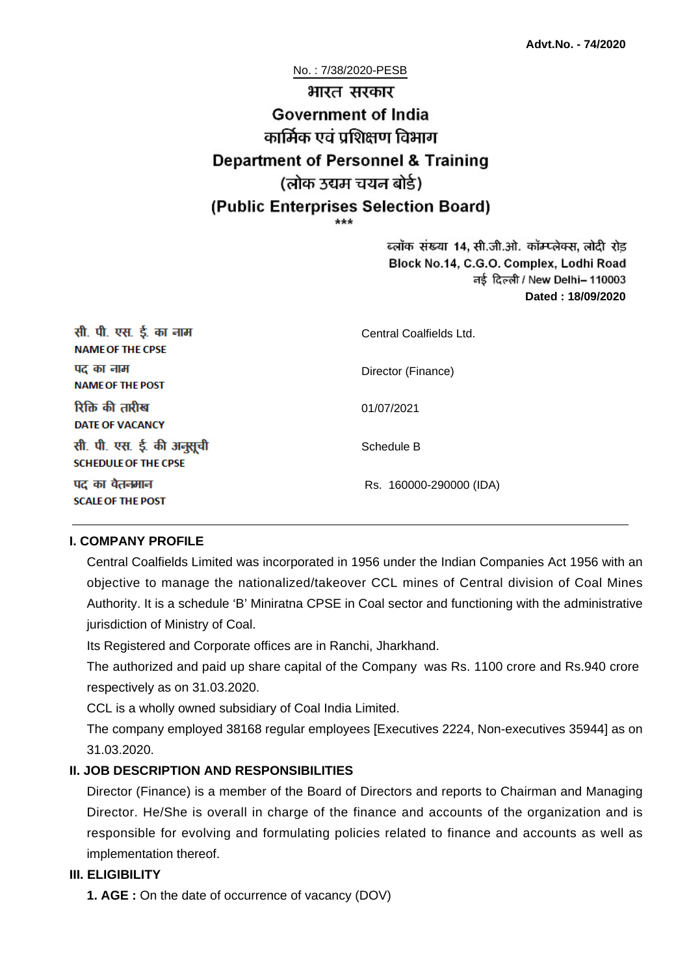No. : 7/38/2020-PESB

# भारत सरकार **Government of India** कार्मिक एवं पशिक्षण विभाग **Department of Personnel & Training** (लोक उद्यम चयन बोर्ड) (Public Enterprises Selection Board)

ब्लॉक संख्या 14, सी.जी.ओ. कॉम्प्लेक्स, लोदी रोड Block No.14, C.G.O. Complex, Lodhi Road ਰई दिल्ली / New Delhi– 110003 **Dated : 18/09/2020**

| सी. पी. एस. ई. का नाम<br><b>NAME OF THE CPSE</b>         | Central Coalfields Ltd. |
|----------------------------------------------------------|-------------------------|
| पद का नाम<br><b>NAME OF THE POST</b>                     | Director (Finance)      |
| रिक्ति की तारीख<br><b>DATE OF VACANCY</b>                | 01/07/2021              |
| सी. पी. एस. ई. की अनुसूची<br><b>SCHEDULE OF THE CPSE</b> | Schedule B              |
| पद का वेतनमान<br><b>SCALE OF THE POST</b>                | Rs. 160000-290000 (IDA) |

#### **I. COMPANY PROFILE**

Central Coalfields Limited was incorporated in 1956 under the Indian Companies Act 1956 with an objective to manage the nationalized/takeover CCL mines of Central division of Coal Mines Authority. It is a schedule 'B' Miniratna CPSE in Coal sector and functioning with the administrative jurisdiction of Ministry of Coal.

Its Registered and Corporate offices are in Ranchi, Jharkhand.

The authorized and paid up share capital of the Company was Rs. 1100 crore and Rs.940 crore respectively as on 31.03.2020.

CCL is a wholly owned subsidiary of Coal India Limited.

The company employed 38168 regular employees [Executives 2224, Non-executives 35944] as on 31.03.2020.

#### **II. JOB DESCRIPTION AND RESPONSIBILITIES**

Director (Finance) is a member of the Board of Directors and reports to Chairman and Managing Director. He/She is overall in charge of the finance and accounts of the organization and is responsible for evolving and formulating policies related to finance and accounts as well as implementation thereof.

#### **III. ELIGIBILITY**

**1. AGE :** On the date of occurrence of vacancy (DOV)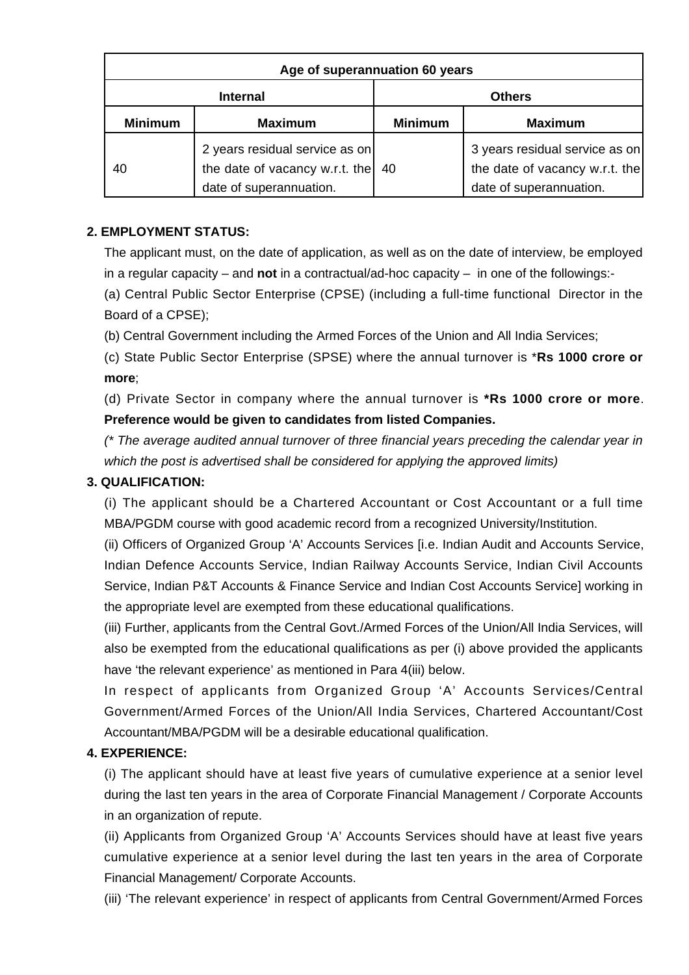| Age of superannuation 60 years |                                                                                             |                |                                                                                             |
|--------------------------------|---------------------------------------------------------------------------------------------|----------------|---------------------------------------------------------------------------------------------|
|                                | <b>Internal</b>                                                                             |                | <b>Others</b>                                                                               |
| <b>Minimum</b>                 | <b>Maximum</b>                                                                              | <b>Minimum</b> | <b>Maximum</b>                                                                              |
| 40                             | 2 years residual service as on<br>the date of vacancy w.r.t. the<br>date of superannuation. | 40             | 3 years residual service as on<br>the date of vacancy w.r.t. the<br>date of superannuation. |

### **2. EMPLOYMENT STATUS:**

The applicant must, on the date of application, as well as on the date of interview, be employed in a regular capacity – and **not** in a contractual/ad-hoc capacity – in one of the followings:-

(a) Central Public Sector Enterprise (CPSE) (including a full-time functional Director in the Board of a CPSE);

(b) Central Government including the Armed Forces of the Union and All India Services;

(c) State Public Sector Enterprise (SPSE) where the annual turnover is \***Rs 1000 crore or more**;

(d) Private Sector in company where the annual turnover is **\*Rs 1000 crore or more**. **Preference would be given to candidates from listed Companies.**

(\* The average audited annual turnover of three financial years preceding the calendar year in which the post is advertised shall be considered for applying the approved limits)

#### **3. QUALIFICATION:**

(i) The applicant should be a Chartered Accountant or Cost Accountant or a full time MBA/PGDM course with good academic record from a recognized University/Institution.

(ii) Officers of Organized Group 'A' Accounts Services [i.e. Indian Audit and Accounts Service, Indian Defence Accounts Service, Indian Railway Accounts Service, Indian Civil Accounts Service, Indian P&T Accounts & Finance Service and Indian Cost Accounts Service] working in the appropriate level are exempted from these educational qualifications.

(iii) Further, applicants from the Central Govt./Armed Forces of the Union/All India Services, will also be exempted from the educational qualifications as per (i) above provided the applicants have 'the relevant experience' as mentioned in Para 4(iii) below.

In respect of applicants from Organized Group 'A' Accounts Services/Central Government/Armed Forces of the Union/All India Services, Chartered Accountant/Cost Accountant/MBA/PGDM will be a desirable educational qualification.

#### **4. EXPERIENCE:**

(i) The applicant should have at least five years of cumulative experience at a senior level during the last ten years in the area of Corporate Financial Management / Corporate Accounts in an organization of repute.

(ii) Applicants from Organized Group 'A' Accounts Services should have at least five years cumulative experience at a senior level during the last ten years in the area of Corporate Financial Management/ Corporate Accounts.

(iii) 'The relevant experience' in respect of applicants from Central Government/Armed Forces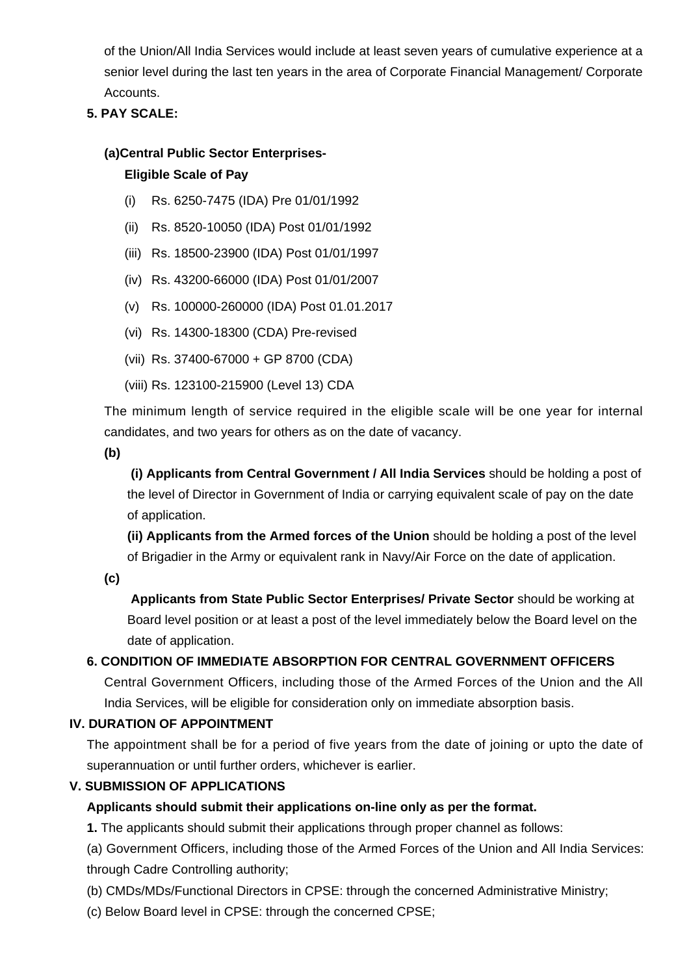of the Union/All India Services would include at least seven years of cumulative experience at a senior level during the last ten years in the area of Corporate Financial Management/ Corporate Accounts.

### **5. PAY SCALE:**

## **(a)Central Public Sector Enterprises-Eligible Scale of Pay**

- (i) Rs. 6250-7475 (IDA) Pre 01/01/1992
- (ii) Rs. 8520-10050 (IDA) Post 01/01/1992
- (iii) Rs. 18500-23900 (IDA) Post 01/01/1997
- (iv) Rs. 43200-66000 (IDA) Post 01/01/2007
- (v) Rs. 100000-260000 (IDA) Post 01.01.2017
- (vi) Rs. 14300-18300 (CDA) Pre-revised
- (vii) Rs. 37400-67000 + GP 8700 (CDA)
- (viii) Rs. 123100-215900 (Level 13) CDA

The minimum length of service required in the eligible scale will be one year for internal candidates, and two years for others as on the date of vacancy.

**(b)**

**(i) Applicants from Central Government / All India Services** should be holding a post of the level of Director in Government of India or carrying equivalent scale of pay on the date of application.

**(ii) Applicants from the Armed forces of the Union** should be holding a post of the level of Brigadier in the Army or equivalent rank in Navy/Air Force on the date of application.

**(c)**

 **Applicants from State Public Sector Enterprises/ Private Sector** should be working at Board level position or at least a post of the level immediately below the Board level on the date of application.

#### **6. CONDITION OF IMMEDIATE ABSORPTION FOR CENTRAL GOVERNMENT OFFICERS**

Central Government Officers, including those of the Armed Forces of the Union and the All India Services, will be eligible for consideration only on immediate absorption basis.

#### **IV. DURATION OF APPOINTMENT**

The appointment shall be for a period of five years from the date of joining or upto the date of superannuation or until further orders, whichever is earlier.

#### **V. SUBMISSION OF APPLICATIONS**

#### **Applicants should submit their applications on-line only as per the format.**

**1.** The applicants should submit their applications through proper channel as follows:

(a) Government Officers, including those of the Armed Forces of the Union and All India Services: through Cadre Controlling authority;

(b) CMDs/MDs/Functional Directors in CPSE: through the concerned Administrative Ministry;

(c) Below Board level in CPSE: through the concerned CPSE;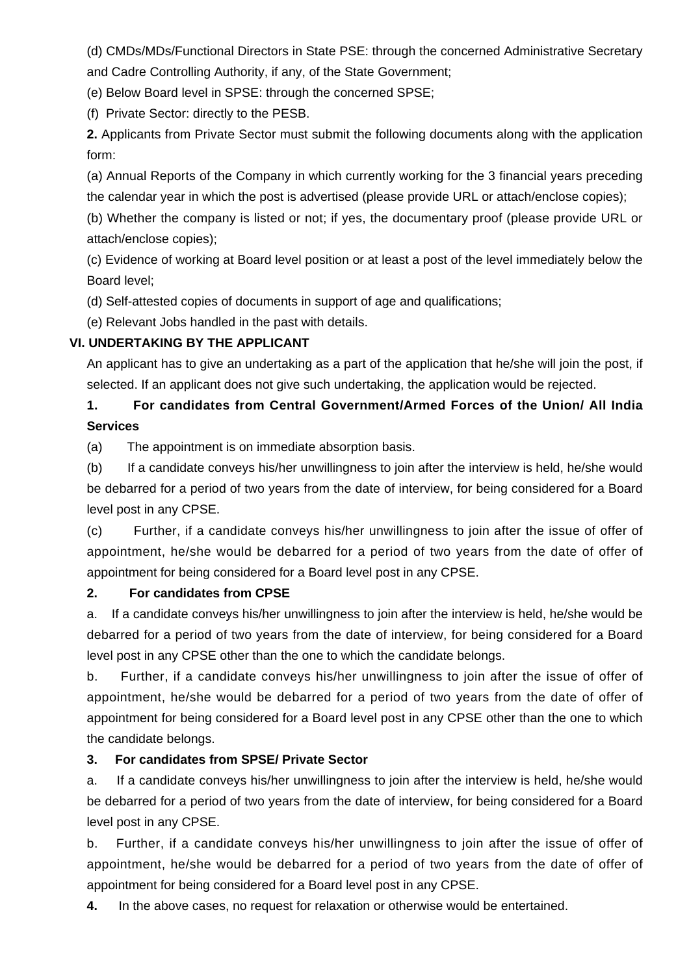(d) CMDs/MDs/Functional Directors in State PSE: through the concerned Administrative Secretary and Cadre Controlling Authority, if any, of the State Government;

(e) Below Board level in SPSE: through the concerned SPSE;

(f) Private Sector: directly to the PESB.

**2.** Applicants from Private Sector must submit the following documents along with the application form:

(a) Annual Reports of the Company in which currently working for the 3 financial years preceding the calendar year in which the post is advertised (please provide URL or attach/enclose copies);

(b) Whether the company is listed or not; if yes, the documentary proof (please provide URL or attach/enclose copies);

(c) Evidence of working at Board level position or at least a post of the level immediately below the Board level;

(d) Self-attested copies of documents in support of age and qualifications;

(e) Relevant Jobs handled in the past with details.

### **VI. UNDERTAKING BY THE APPLICANT**

An applicant has to give an undertaking as a part of the application that he/she will join the post, if selected. If an applicant does not give such undertaking, the application would be rejected.

## **1. For candidates from Central Government/Armed Forces of the Union/ All India Services**

(a) The appointment is on immediate absorption basis.

(b) If a candidate conveys his/her unwillingness to join after the interview is held, he/she would be debarred for a period of two years from the date of interview, for being considered for a Board level post in any CPSE.

(c) Further, if a candidate conveys his/her unwillingness to join after the issue of offer of appointment, he/she would be debarred for a period of two years from the date of offer of appointment for being considered for a Board level post in any CPSE.

#### **2. For candidates from CPSE**

a. If a candidate conveys his/her unwillingness to join after the interview is held, he/she would be debarred for a period of two years from the date of interview, for being considered for a Board level post in any CPSE other than the one to which the candidate belongs.

b. Further, if a candidate conveys his/her unwillingness to join after the issue of offer of appointment, he/she would be debarred for a period of two years from the date of offer of appointment for being considered for a Board level post in any CPSE other than the one to which the candidate belongs.

#### **3. For candidates from SPSE/ Private Sector**

a. If a candidate conveys his/her unwillingness to join after the interview is held, he/she would be debarred for a period of two years from the date of interview, for being considered for a Board level post in any CPSE.

b. Further, if a candidate conveys his/her unwillingness to join after the issue of offer of appointment, he/she would be debarred for a period of two years from the date of offer of appointment for being considered for a Board level post in any CPSE.

**4.** In the above cases, no request for relaxation or otherwise would be entertained.